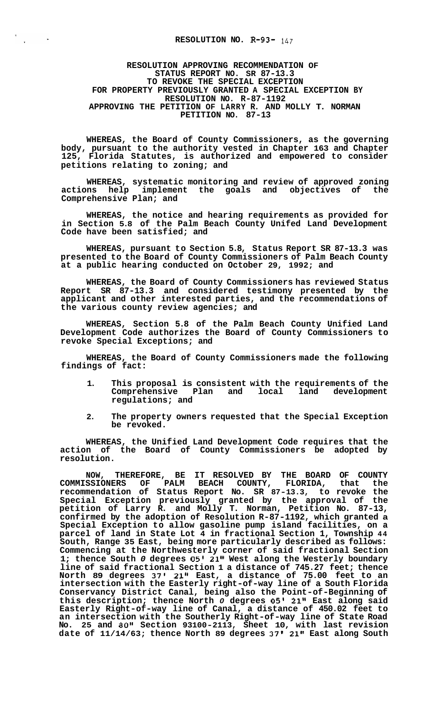## **RESOLUTION NO. R-93-** *147*

**RESOLUTION APPROVING RECOMMENDATION OF STATUS REPORT NO. SR 87-13.3 TO REVOKE THE SPECIAL EXCEPTION FOR PROPERTY PREVIOUSLY GRANTED A SPECIAL EXCEPTION BY RESOLUTION NO. R-87-1192 APPROVING THE PETITION OF LARRY R. AND MOLLY T. NORMAN PETITION NO. 87-13** 

**WHEREAS, the Board of County Commissioners, as the governing body, pursuant to the authority vested in Chapter 163 and Chapter 125, Florida Statutes, is authorized and empowered to consider petitions relating to zoning; and** 

**WHEREAS, systematic monitoring and review of approved zoning actions help implement the goals and objectives of the Comprehensive Plan; and** 

**WHEREAS, the notice and hearing requirements as provided for in Section 5.8 of the Palm Beach County Unifed Land Development Code have been satisfied; and** 

**WHEREAS, pursuant to Section 5.8, Status Report SR 87-13.3 was presented to the Board of County Commissioners of Palm Beach County at a public hearing conducted on October 29, 1992; and** 

**WHEREAS, the Board of County Commissioners has reviewed Status Report SR 87-13.3 and considered testimony presented by the applicant and other interested parties, and the recommendations of the various county review agencies; and** 

**WHEREAS, Section 5.8 of the Palm Beach County Unified Land Development Code authorizes the Board of County Commissioners to revoke Special Exceptions; and** 

**WHEREAS, the Board of County Commissioners made the following findings of fact:** 

- **1. This proposal is consistent with the requirements of the**  Comprehensive Plan and **regulations; and**
- **2. The property owners requested that the Special Exception be revoked.**

**WHEREAS, the Unified Land Development Code requires that the action of the Board of County Commissioners be adopted by resolution.** 

**NOW, THEREFORE, BE IT RESOLVED BY THE BOARD OF COUNTY COMMISSIONERS OF PALM BEACH COUNTY, FLORIDA, that the recommendation of Status Report No. SR 87-13.3, to revoke the Special Exception previously granted by the approval of the petition of Larry R. and Molly T. Norman, Petition No. 87-13, confirmed by the adoption of Resolution R-87-1192, which granted a Special Exception to allow gasoline pump island facilities, on a parcel of land in State Lot 4 in fractional Section 1, Township 44 South, Range 35 East, being more particularly described as follows: Commencing at the Northwesterly corner of said fractional Section 1; thence South** *0* **degrees** *05'* **21" West along the Westerly boundary line of said fractional Section 1 a distance of 745.27 feet; thence North 89 degrees 37' 21" East, a distance of 75.00 feet to an intersection with the Easterly right-of-way line of a South Florida Conservancy District Canal, being also the Point-of-Beginning of this description; thence North** *0* **degrees** *05'* **21" East along said Easterly Right-of-way line of Canal, a distance of 450.02 feet to an intersection with the Southerly Right-of-way line of State Road No. 25 and 80" Section 93100-2113, Sheet 10, with last revision date of 11/14/63; thence North 89 degrees 37' 21" East along South**